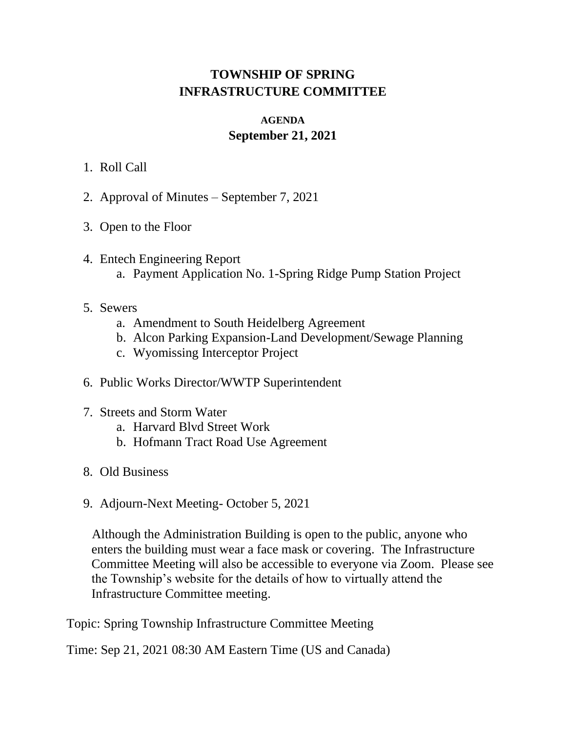## **TOWNSHIP OF SPRING INFRASTRUCTURE COMMITTEE**

## **AGENDA September 21, 2021**

- 1. Roll Call
- 2. Approval of Minutes September 7, 2021
- 3. Open to the Floor
- 4. Entech Engineering Report a. Payment Application No. 1-Spring Ridge Pump Station Project
- 5. Sewers
	- a. Amendment to South Heidelberg Agreement
	- b. Alcon Parking Expansion-Land Development/Sewage Planning
	- c. Wyomissing Interceptor Project
- 6. Public Works Director/WWTP Superintendent
- 7. Streets and Storm Water
	- a. Harvard Blvd Street Work
	- b. Hofmann Tract Road Use Agreement
- 8. Old Business
- 9. Adjourn-Next Meeting- October 5, 2021

Although the Administration Building is open to the public, anyone who enters the building must wear a face mask or covering. The Infrastructure Committee Meeting will also be accessible to everyone via Zoom. Please see the Township's website for the details of how to virtually attend the Infrastructure Committee meeting.

Topic: Spring Township Infrastructure Committee Meeting

Time: Sep 21, 2021 08:30 AM Eastern Time (US and Canada)